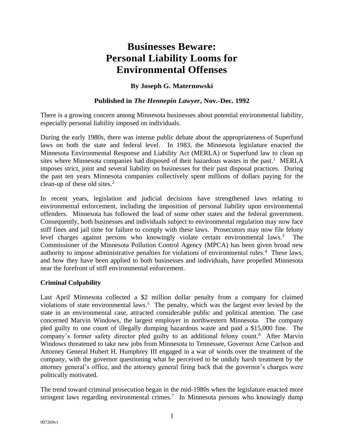# **Businesses Beware: Personal Liability Looms for Environmental Offenses**

## **By Joseph G. Maternowski**

#### **Published in** *The Hennepin Lawyer***, Nov.-Dec. 1992**

There is a growing concern among Minnesota businesses about potential environmental liability, especially personal liability imposed on individuals.

During the early 1980s, there was intense public debate about the appropriateness of Superfund laws on both the state and federal level. In 1983, the Minnesota legislature enacted the Minnesota Environmental Response and Liability Act (MERLA) or Superfund law to clean up sites where Minnesota companies had disposed of their hazardous wastes in the past. <sup>1</sup> MERLA imposes strict, joint and several liability on businesses for their past disposal practices. During the past ten years Minnesota companies collectively spent millions of dollars paying for the clean-up of these old sites. 2

In recent years, legislation and judicial decisions have strengthened laws relating to environmental enforcement, including the imposition of personal liability upon environmental offenders. Minnesota has followed the lead of some other states and the federal government. Consequently, both businesses and individuals subject to environmental regulation may now face stiff fines and jail time for failure to comply with these laws. Prosecutors may now file felony level charges against persons who knowingly violate certain environmental laws.<sup>3</sup> The Commissioner of the Minnesota Pollution Control Agency (MPCA) has been given broad new authority to impose administrative penalties for violations of environmental rules.<sup>4</sup> These laws, and how they have been applied to both businesses and individuals, have propelled Minnesota near the forefront of stiff environmental enforcement.

### **Criminal Culpability**

Last April Minnesota collected a \$2 million dollar penalty from a company for claimed violations of state environmental laws.<sup>5</sup> The penalty, which was the largest ever levied by the state in an environmental case, attracted considerable public and political attention. The case concerned Marvin Windows, the largest employer in northwestern Minnesota. The company pled guilty to one count of illegally dumping hazardous waste and paid a \$15,000 fine. The company's former safety director pled guilty to an additional felony count.<sup>6</sup> After Marvin Windows threatened to take new jobs from Minnesota to Tennessee, Governor Arne Carlson and Attorney General Hubert H. Humphrey III engaged in a war of words over the treatment of the company, with the governor questioning what he perceived to be unduly harsh treatment by the attorney general's office, and the attorney general firing back that the governor's charges were politically motivated.

The trend toward criminal prosecution began in the mid-1980s when the legislature enacted more stringent laws regarding environmental crimes.<sup>7</sup> In Minnesota persons who knowingly dump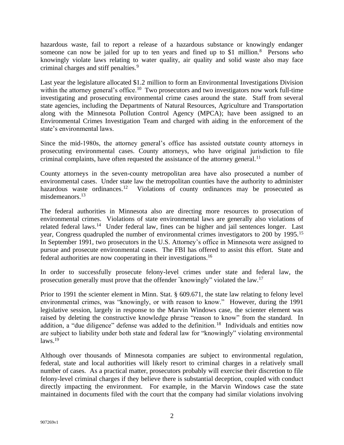hazardous waste, fail to report a release of a hazardous substance or knowingly endanger someone can now be jailed for up to ten years and fined up to \$1 million.<sup>8</sup> Persons *who*  knowingly violate laws relating to water quality, air quality and solid waste also may face criminal charges and stiff penalties.<sup>9</sup>

Last year the legislature allocated \$1.2 million to form an Environmental Investigations Division within the attorney general's office.<sup>10</sup> Two prosecutors and two investigators now work full-time investigating and prosecuting environmental crime cases around the state. Staff from several state agencies, including the Departments of Natural Resources, Agriculture and Transportation along with the Minnesota Pollution Control Agency (MPCA); have been assigned to an Environmental Crimes Investigation Team and charged with aiding in the enforcement of the state's environmental laws.

Since the mid-1980s, the attorney general's office has assisted outstate county attorneys in prosecuting environmental cases. County attorneys, who have original jurisdiction to file criminal complaints, have often requested the assistance of the attorney general.<sup>11</sup>

County attorneys in the seven-county metropolitan area have also prosecuted a number of environmental cases. Under state law the metropolitan counties have the authority to administer hazardous waste ordinances.<sup>12</sup> Violations of county ordinances may be prosecuted as misdemeanors.<sup>13</sup>

The federal authorities in Minnesota also are directing more resources to prosecution of environmental crimes. Violations of state environmental laws are generally also violations of related federal laws.<sup>14</sup> Under federal law, fines can be higher and jail sentences longer. Last year, Congress quadrupled the number of environmental crimes investigators to 200 by 1995.<sup>15</sup> In September 1991, two prosecutors in the U.S. Attorney's office in Minnesota were assigned to pursue and prosecute environmental cases. The FBI has offered to assist this effort. State and federal authorities are now cooperating in their investigations.<sup>16</sup>

In order to successfully prosecute felony-level crimes under state and federal law, the prosecution generally must prove that the offender "knowingly" violated the law.<sup>17</sup>

Prior to 1991 the scienter element in Minn. Stat. § 609.671, the state law relating to felony level environmental crimes, was "knowingly, or with reason to know." However, during the 1991 legislative session, largely in response to the Marvin Windows case, the scienter element was raised by deleting the constructive knowledge phrase "reason to know" from the standard. In addition, a "due diligence" defense was added to the definition.<sup>18</sup> Individuals and entities now are subject to liability under both state and federal law for "knowingly" violating environmental  $laws.<sup>19</sup>$ 

Although over thousands of Minnesota companies are subject to environmental regulation, federal, state and local authorities will likely resort to criminal charges in a relatively small number of cases. As a practical matter, prosecutors probably will exercise their discretion to file felony-level criminal charges if they believe there is substantial deception, coupled with conduct directly impacting the environment. For example, in the Marvin Windows case the state maintained in documents filed with the court that the company had similar violations involving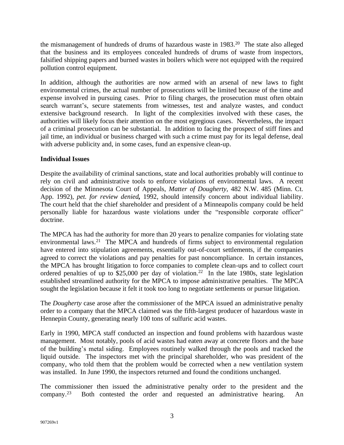the mismanagement of hundreds of drums of hazardous waste in 1983.<sup>20</sup> The state also alleged that the business and its employees concealed hundreds of drums of waste from inspectors, falsified shipping papers and burned wastes in boilers which were not equipped with the required pollution control equipment.

In addition, although the authorities are now armed with an arsenal of new laws to fight environmental crimes, the actual number of prosecutions will be limited because of the time and expense involved in pursuing cases. Prior to filing charges, the prosecution must often obtain search warrant's, secure statements from witnesses, test and analyze wastes, and conduct extensive background research. In light of the complexities involved with these cases, the authorities will likely focus their attention on the most egregious cases. Nevertheless, the impact of a criminal prosecution can be substantial. In addition to facing the prospect of stiff fines and jail time, an individual or business charged with such a crime must pay for its legal defense, deal with adverse publicity and, in some cases, fund an expensive clean-up.

## **Individual Issues**

Despite the availability of criminal sanctions, state and local authorities probably will continue to rely on civil and administrative tools to enforce violations of environmental laws. A recent decision of the Minnesota Court of Appeals, *Matter of Dougherty,* 482 N.W. 485 (Minn. Ct. App. 1992), *pet. for review denied,* 1992, should intensify concern about individual liability. The court held that the chief shareholder and president of a Minneapolis company could be held personally liable for hazardous waste violations under the "responsible corporate officer" doctrine.

The MPCA has had the authority for more than 20 years to penalize companies for violating state environmental laws.<sup>21</sup> The MPCA and hundreds of firms subject to environmental regulation have entered into stipulation agreements, essentially out-of-court settlements, if the companies agreed to correct the violations and pay penalties for past noncompliance. In certain instances, the MPCA has brought litigation to force companies to complete clean-ups and to collect court ordered penalties of up to \$25,000 per day of violation.<sup>22</sup> In the late 1980s, state legislation established streamlined authority for the MPCA to impose administrative penalties. The MPCA sought the legislation because it felt it took too long to negotiate settlements or pursue litigation.

The *Dougherty* case arose after the commissioner of the MPCA issued an administrative penalty order to a company that the MPCA claimed was the fifth-largest producer of hazardous waste in Hennepin County, generating nearly 100 tons of sulfuric acid wastes.

Early in 1990, MPCA staff conducted an inspection and found problems with hazardous waste management. Most notably, pools of acid wastes had eaten away at concrete floors and the base of the building's metal siding. Employees routinely walked through the pools and tracked the liquid outside. The inspectors met with the principal shareholder, who was president of the company, who told them that the problem would be corrected when a new ventilation system was installed. In June 1990, the inspectors returned and found the conditions unchanged.

The commissioner then issued the administrative penalty order to the president and the company.<sup>23</sup> Both contested the order and requested an administrative hearing. An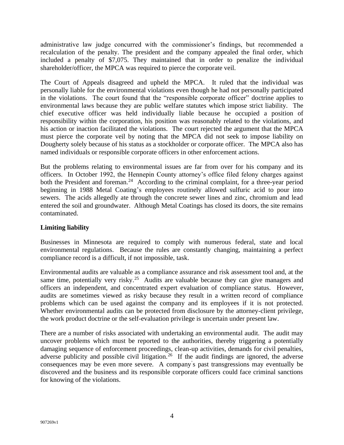administrative law judge concurred with the commissioner's findings, but recommended a recalculation of the penalty. The president and the company appealed the final order, which included a penalty of \$7,075. They maintained that in order to penalize the individual shareholder/officer, the MPCA was required to pierce the corporate veil.

The Court of Appeals disagreed and upheld the MPCA. It ruled that the individual was personally liable for the environmental violations even though he had not personally participated in the violations. The court found that the "responsible corporate officer" doctrine applies to environmental laws because they are public welfare statutes which impose strict liability. The chief executive officer was held individually liable because he occupied a position of responsibility within the corporation, his position was reasonably related to the violations, and his action or inaction facilitated the violations. The court rejected the argument that the MPCA must pierce the corporate veil by noting that the MPCA did not seek to impose liability on Dougherty solely because of his status as a stockholder or corporate officer. The MPCA also has named individuals or responsible corporate officers in other enforcement actions.

But the problems relating to environmental issues are far from over for his company and its officers. In October 1992, the Hennepin County attorney's office filed felony charges against both the President and foreman.<sup>24</sup> According to the criminal complaint, for a three-year period beginning in 1988 Metal Coating's employees routinely allowed sulfuric acid to pour into sewers. The acids allegedly ate through the concrete sewer lines and zinc, chromium and lead entered the soil and groundwater. Although Metal Coatings has closed its doors, the site remains contaminated.

### **Limiting liability**

Businesses in Minnesota are required to comply with numerous federal, state and local environmental regulations. Because the rules are constantly changing, maintaining a perfect compliance record is a difficult, if not impossible, task.

Environmental audits are valuable as a compliance assurance and risk assessment tool and, at the same time, potentially very risky.<sup>25</sup> Audits are valuable because they can give managers and officers an independent, and concentrated expert evaluation of compliance status. However, audits are sometimes viewed as risky because they result in a written record of compliance problems which can be used against the company and its employees if it is not protected. Whether environmental audits can be protected from disclosure by the attorney-client privilege, the work product doctrine or the self-evaluation privilege is uncertain under present law.

There are a number of risks associated with undertaking an environmental audit. The audit may uncover problems which must be reported to the authorities, thereby triggering a potentially damaging sequence of enforcement proceedings, clean-up activities, demands for civil penalties, adverse publicity and possible civil litigation.<sup>26</sup> If the audit findings are ignored, the adverse consequences may be even more severe. A company' s past transgressions may eventually be discovered and the business and its responsible corporate officers could face criminal sanctions for knowing of the violations.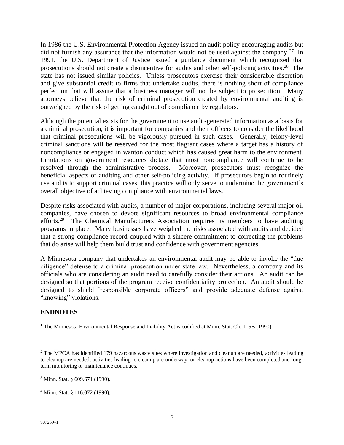In 1986 the U.S. Environmental Protection Agency issued an audit policy encouraging audits but did not furnish any assurance that the information would not be used against the company.<sup>27</sup> In 1991, the U.S. Department of Justice issued a guidance document which recognized that prosecutions should not create a disincentive for audits and other self-policing activities.<sup>28</sup> The state has not issued similar policies. Unless prosecutors exercise their considerable discretion and give substantial credit to firms that undertake audits, there is nothing short of compliance perfection that will assure that a business manager will not be subject to prosecution. Many attorneys believe that the risk of criminal prosecution created by environmental auditing is outweighed by the risk of getting caught out of compliance by regulators.

Although the potential exists for the government to use audit-generated information as a basis for a criminal prosecution, it is important for companies and their officers to consider the likelihood that criminal prosecutions will be vigorously pursued in such cases. Generally, felony-level criminal sanctions will be reserved for the most flagrant cases where a target has a history of noncompliance or engaged in wanton conduct which has caused great harm to the environment. Limitations on government resources dictate that most noncompliance will continue to be resolved through the administrative process. Moreover, prosecutors must recognize the beneficial aspects of auditing and other self-policing activity. If prosecutors begin to routinely use audits to support criminal cases, this practice will only serve to undermine the government's overall objective of achieving compliance with environmental laws.

Despite risks associated with audits, a number of major corporations, including several major oil companies, have chosen to devote significant resources to broad environmental compliance efforts.<sup>29</sup> The Chemical Manufacturers Association requires its members to have auditing programs in place. Many businesses have weighed the risks associated with audits and decided that a strong compliance record coupled with a sincere commitment to correcting the problems that do arise will help them build trust and confidence with government agencies.

A Minnesota company that undertakes an environmental audit may be able to invoke the "due diligence" defense to a criminal prosecution under state law. Nevertheless, a company and its officials who are considering an audit need to carefully consider their actions. An audit can be designed so that portions of the program receive confidentiality protection. An audit should be designed to shield " responsible corporate officers" and provide adequate defense against "knowing" violations.

### **ENDNOTES**

<sup>&</sup>lt;sup>1</sup> The Minnesota Environmental Response and Liability Act is codified at Minn. Stat. Ch. 115B (1990).

<sup>&</sup>lt;sup>2</sup> The MPCA has identified 179 hazardous waste sites where investigation and cleanup are needed, activities leading to cleanup are needed, activities leading to cleanup are underway, or cleanup actions have been completed and longterm monitoring or maintenance continues.

<sup>3</sup> Minn. Stat. § 609.671 (1990).

<sup>4</sup> Minn. Stat. § 116.072 (1990).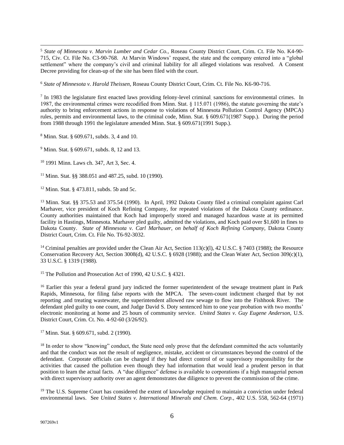<sup>5</sup> *State of Minnesota v. Marvin Lumber and Cedar Co.,* Roseau County District Court, Crim. Ct. File No. K4-90- 715, Civ. Ct. File No. C3-90-768. At Marvin Windows' request, the state and the company entered into a "global settlement" where the company's civil and criminal liability for all alleged violations was resolved. A Consent Decree providing for clean-up of the site has been filed with the court.

<sup>6</sup> *State of Minnesota v. Harold Theissen,* Roseau County District Court, Crim. Ct. File No. K6-90-716.

 $<sup>7</sup>$  In 1983 the legislature first enacted laws providing felony-level criminal sanctions for environmental crimes. In</sup> 1987, the environmental crimes were recodified from Minn. Stat. § 115.071 (1986), the statute governing the state's authority to bring enforcement actions in response to violations of Minnesota Pollution Control Agency (MPCA) rules, permits and environmental laws, to the criminal code, Minn. Stat. § 609.671(1987 Supp.). During the period from 1988 through 1991 the legislature amended Minn. Stat. § 609.671(1991 Supp.).

<sup>8</sup> Minn. Stat. § 609.671, subds. 3, 4 and 10.

<sup>9</sup> Minn. Stat. § 609.671, subds. 8, 12 and 13.

<sup>10</sup> 1991 Minn. Laws ch. 347, Art 3, Sec. 4.

<sup>11</sup> Minn. Stat. §§ 388.051 and 487.25, subd. 10 (1990).

<sup>12</sup> Minn. Stat. § 473.811, subds. 5b and 5c.

<sup>13</sup> Minn. Stat. §§ 375.53 and 375.54 (1990). In April, 1992 Dakota County filed a criminal complaint against Carl Marhaver, vice president of Koch Refining Company, for repeated violations of the Dakota County ordinance. County authorities maintained that Koch had improperly stored and managed hazardous waste at its permitted facility in Hastings, Minnesota. Marhaver pled guilty, admitted the violations, and Koch paid over \$1,600 in fines to Dakota County. *State of Minnesota v. Carl Marhauer, on behalf of Koch Refining Company*, Dakota County District Court, Crim. Ct. File No. T6-92-3032.

<sup>14</sup> Criminal penalties are provided under the Clean Air Act, Section 113(c)(l), 42 U.S.C. § 7403 (1988); the Resource Conservation Recovery Act, Section 3008(d), 42 U.S.C. § 6928 (1988); and the Clean Water Act, Section 309(c)(1), 33 U.S.C. § 1319 (1988).

<sup>15</sup> The Pollution and Prosecution Act of 1990, 42 U.S.C. § 4321.

<sup>16</sup> Earlier this year a federal grand jury indicted the former superintendent of the sewage treatment plant in Park Rapids, Minnesota, for filing false reports with the MPCA. The seven-count indictment charged that by not reporting .and treating wastewater, the superintendent allowed raw sewage to flow into the Fishhook River. The defendant pled guilty to one count, and Judge David S. Doty sentenced him to one year probation with two months' electronic monitoring at home and 25 hours of community service. *United States v. Guy Eugene Anderson,* U.S. District Court, Crim. Ct. No. 4-92-60 (3/26/92).

<sup>17</sup> Minn. Stat. § 609.671, subd. 2 (1990).

<sup>18</sup> In order to show "knowing" conduct, the State need only prove that the defendant committed the acts voluntarily and that the conduct was not the result of negligence, mistake, accident or circumstances beyond the control of the defendant. Corporate officials can be charged if they had direct control of or supervisory responsibility for the activities that caused the pollution even though they had information that would lead a prudent person in that position to learn the actual facts. A "due diligence" defense is available to corporations if a high managerial person with direct supervisory authority over an agent demonstrates due diligence to prevent the commission of the crime.

<sup>19</sup> The U.S. Supreme Court has considered the extent of knowledge required to maintain a conviction under federal environmental laws. See *United States v. International Minerals and Chem. Corp.,* 402 U.S. 558, 562-64 (1971)